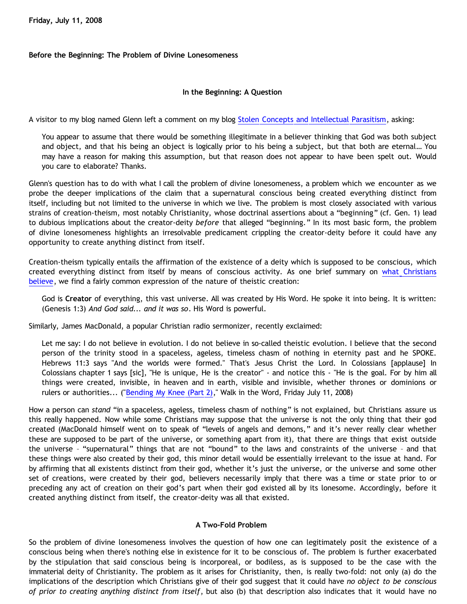**Friday, July 11, 2008**

## **Before the Beginning: The Problem of Divine Lonesomeness**

# **In the Beginning: A Question**

A visitor to my blog named Glenn left a comment on my blog [Stolen Concepts and Intellectual Parasitism,](http://bahnsenburner.blogspot.com/2008/06/stolen-concepts-and-intellectual.html) asking:

You appear to assume that there would be something illegitimate in a believer thinking that God was both subject and object, and that his being an object is logically prior to his being a subject, but that both are eternal… You may have a reason for making this assumption, but that reason does not appear to have been spelt out. Would you care to elaborate? Thanks.

Glenn's question has to do with what I call the problem of divine lonesomeness, a problem which we encounter as we probe the deeper implications of the claim that a supernatural conscious being created everything distinct from itself, including but not limited to the universe in which we live. The problem is most closely associated with various strains of creation-theism, most notably Christianity, whose doctrinal assertions about a "beginning" (cf. Gen. 1) lead to dubious implications about the creator-deity *before* that alleged "beginning." In its most basic form, the problem of divine lonesomeness highlights an irresolvable predicament crippling the creator-deity before it could have any opportunity to create anything distinct from itself.

Creation-theism typically entails the affirmation of the existence of a deity which is supposed to be conscious, which created everything distinct from itself by means of conscious activity. As one brief summary on [what Christians](http://www.answering-islam.org/Basics/god.html) [believe,](http://www.answering-islam.org/Basics/god.html) we find a fairly common expression of the nature of theistic creation:

God is **Creator** of everything, this vast universe. All was created by His Word. He spoke it into being. It is written: (Genesis 1:3) *And God said... and it was so*. His Word is powerful.

Similarly, James MacDonald, a popular Christian radio sermonizer, recently exclaimed:

Let me say: I do not believe in evolution. I do not believe in so-called theistic evolution. I believe that the second person of the trinity stood in a spaceless, ageless, timeless chasm of nothing in eternity past and he SPOKE. Hebrews 11:3 says "And the worlds were formed." That's Jesus Christ the Lord. In Colossians [applause] In Colossians chapter 1 says [sic], "He is unique, He is the creator" - and notice this - "He is the goal. For by him all things were created, invisible, in heaven and in earth, visible and invisible, whether thrones or dominions or rulers or authorities... ("[Bending My Knee \(Part 2\)](http://www.oneplace.com/ministries/Walk_in_the_Word/archives.asp?bcd=2008-7-11)," Walk in the Word, Friday July 11, 2008)

How a person can *stand* "in a spaceless, ageless, timeless chasm of nothing" is not explained, but Christians assure us this really happened. Now while some Christians may suppose that the universe is not the only thing that their god created (MacDonald himself went on to speak of "levels of angels and demons," and it's never really clear whether these are supposed to be part of the universe, or something apart from it), that there are things that exist outside the universe – "supernatural" things that are not "bound" to the laws and constraints of the universe – and that these things were also created by their god, this minor detail would be essentially irrelevant to the issue at hand. For by affirming that all existents distinct from their god, whether it's just the universe, or the universe and some other set of creations, were created by their god, believers necessarily imply that there was a time or state prior to or preceding any act of creation on their god's part when their god existed all by its lonesome. Accordingly, before it created anything distinct from itself, the creator-deity was all that existed.

### **A Two-Fold Problem**

So the problem of divine lonesomeness involves the question of how one can legitimately posit the existence of a conscious being when there's nothing else in existence for it to be conscious of. The problem is further exacerbated by the stipulation that said conscious being is incorporeal, or bodiless, as is supposed to be the case with the immaterial deity of Christianity. The problem as it arises for Christianity, then, is really two-fold: not only (a) do the implications of the description which Christians give of their god suggest that it could have *no object to be conscious of prior to creating anything distinct from itself*, but also (b) that description also indicates that it would have no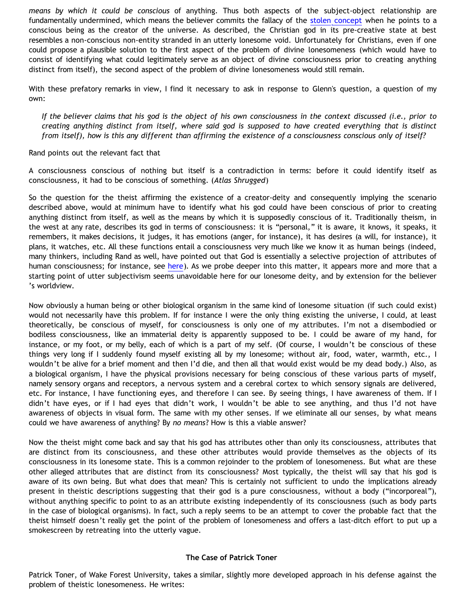*means by which it could be conscious* of anything. Thus both aspects of the subject-object relationship are fundamentally undermined, which means the believer commits the fallacy of the [stolen concept](http://bahnsenburner.blogspot.com/2008/06/stolen-concepts-and-intellectual.html) when he points to a conscious being as the creator of the universe. As described, the Christian god in its pre-creative state at best resembles a non-conscious non-entity stranded in an utterly lonesome void. Unfortunately for Christians, even if one could propose a plausible solution to the first aspect of the problem of divine lonesomeness (which would have to consist of identifying what could legitimately serve as an object of divine consciousness prior to creating anything distinct from itself), the second aspect of the problem of divine lonesomeness would still remain.

With these prefatory remarks in view, I find it necessary to ask in response to Glenn's question, a question of my own:

*If the believer claims that his god is the object of his own consciousness in the context discussed (i.e., prior to creating anything distinct from itself, where said god is supposed to have created everything that is distinct from itself), how is this any different than affirming the existence of a consciousness conscious only of itself?*

Rand points out the relevant fact that

A consciousness conscious of nothing but itself is a contradiction in terms: before it could identify itself as consciousness, it had to be conscious of something. (*Atlas Shrugged*)

So the question for the theist affirming the existence of a creator-deity and consequently implying the scenario described above, would at minimum have to identify what his god could have been conscious of prior to creating anything distinct from itself, as well as the means by which it is supposedly conscious of it. Traditionally theism, in the west at any rate, describes its god in terms of consciousness: it is "personal," it is aware, it knows, it speaks, it remembers, it makes decisions, it judges, it has emotions (anger, for instance), it has desires (a will, for instance), it plans, it watches, etc. All these functions entail a consciousness very much like we know it as human beings (indeed, many thinkers, including Rand as well, have pointed out that God is essentially a selective projection of attributes of human consciousness; for instance, see [here\)](http://bahnsenburner.blogspot.com/2008/02/presuppositionalism-and-evasion-of_04.html). As we probe deeper into this matter, it appears more and more that a starting point of utter subjectivism seems unavoidable here for our lonesome deity, and by extension for the believer 's worldview.

Now obviously a human being or other biological organism in the same kind of lonesome situation (if such could exist) would not necessarily have this problem. If for instance I were the only thing existing the universe, I could, at least theoretically, be conscious of myself, for consciousness is only one of my attributes. I'm not a disembodied or bodiless consciousness, like an immaterial deity is apparently supposed to be. I could be aware of my hand, for instance, or my foot, or my belly, each of which is a part of my self. (Of course, I wouldn't be conscious of these things very long if I suddenly found myself existing all by my lonesome; without air, food, water, warmth, etc., I wouldn't be alive for a brief moment and then I'd die, and then all that would exist would be my dead body.) Also, as a biological organism, I have the physical provisions necessary for being conscious of these various parts of myself, namely sensory organs and receptors, a nervous system and a cerebral cortex to which sensory signals are delivered, etc. For instance, I have functioning eyes, and therefore I can see. By seeing things, I have awareness of them. If I didn't have eyes, or if I had eyes that didn't work, I wouldn't be able to see anything, and thus I'd not have awareness of objects in visual form. The same with my other senses. If we eliminate all our senses, by what means could we have awareness of anything? By *no means*? How is this a viable answer?

Now the theist might come back and say that his god has attributes other than only its consciousness, attributes that are distinct from its consciousness, and these other attributes would provide themselves as the objects of its consciousness in its lonesome state. This is a common rejoinder to the problem of lonesomeness. But what are these other alleged attributes that are distinct from its consciousness? Most typically, the theist will say that his god is aware of its own being. But what does that mean? This is certainly not sufficient to undo the implications already present in theistic descriptions suggesting that their god is a pure consciousness, without a body ("incorporeal"), without anything specific to point to as an attribute existing independently of its consciousness (such as body parts in the case of biological organisms). In fact, such a reply seems to be an attempt to cover the probable fact that the theist himself doesn't really get the point of the problem of lonesomeness and offers a last-ditch effort to put up a smokescreen by retreating into the utterly vague.

### **The Case of Patrick Toner**

Patrick Toner, of Wake Forest University, takes a similar, slightly more developed approach in his defense against the problem of theistic lonesomeness. He writes: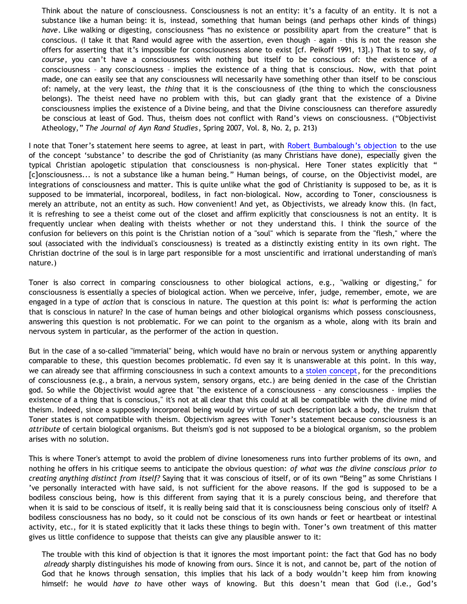Think about the nature of consciousness. Consciousness is not an entity: it's a faculty of an entity. It is not a substance like a human being: it is, instead, something that human beings (and perhaps other kinds of things) *have*. Like walking or digesting, consciousness "has no existence or possibility apart from the creature" that is conscious. (I take it that Rand would agree with the assertion, even though – again – this is not the reason she offers for asserting that it's impossible for consciousness alone to exist [cf. Peikoff 1991, 13].) That is to say, *of course*, you can't have a consciousness with nothing but itself to be conscious of: the existence of a consciousness – any consciousness – implies the existence of a thing that is conscious. Now, with that point made, one can easily see that any consciousness will necessarily have something other than itself to be conscious of: namely, at the very least, the *thing* that it is the consciousness of (the thing to which the consciousness belongs). The theist need have no problem with this, but can gladly grant that the existence of a Divine consciousness implies the existence of a Divine being, and that the Divine consciousness can therefore assuredly be conscious at least of God. Thus, theism does not conflict with Rand's views on consciousness. ("Objectivist Atheology," *The Journal of Ayn Rand Studies*, Spring 2007, Vol. 8, No. 2, p. 213)

I note that Toner's statement here seems to agree, at least in part, with [Robert Bumbalough's objection](http://bahnsenburner.blogspot.com/2008/06/stolen-concepts-and-intellectual.html) to the use of the concept 'substance' to describe the god of Christianity (as many Christians have done), especially given the typical Christian apologetic stipulation that consciousness is non-physical. Here Toner states explicitly that " [c]onsciousness... is not a substance like a human being." Human beings, of course, on the Objectivist model, are integrations of consciousness and matter. This is quite unlike what the god of Christianity is supposed to be, as it is supposed to be immaterial, incorporeal, bodiless, in fact non-biological. Now, according to Toner, consciousness is merely an attribute, not an entity as such. How convenient! And yet, as Objectivists, we already know this. (In fact, it is refreshing to see a theist come out of the closet and affirm explicitly that consciousness is not an entity. It is frequently unclear when dealing with theists whether or not they understand this. I think the source of the confusion for believers on this point is the Christian notion of a "soul" which is separate from the "flesh," where the soul (associated with the individual's consciousness) is treated as a distinctly existing entity in its own right. The Christian doctrine of the soul is in large part responsible for a most unscientific and irrational understanding of man's nature.)

Toner is also correct in comparing consciousness to other biological actions, e.g., "walking or digesting," for consciousness is essentially a species of biological action. When we perceive, infer, judge, remember, emote, we are engaged in a type of *action* that is conscious in nature. The question at this point is: *what* is performing the action that is conscious in nature? In the case of human beings and other biological organisms which possess consciousness, answering this question is not problematic. For we can point to the organism as a whole, along with its brain and nervous system in particular, as the performer of the action in question.

But in the case of a so-called "immaterial" being, which would have no brain or nervous system or anything apparently comparable to these, this question becomes problematic. I'd even say it is unanswerable at this point. In this way, we can already see that affirming consciousness in such a context amounts to a [stolen concept](http://bahnsenburner.blogspot.com/2008/06/stolen-concepts-and-intellectual.html), for the preconditions of consciousness (e.g., a brain, a nervous system, sensory organs, etc.) are being denied in the case of the Christian god. So while the Objectivist would agree that "the existence of a consciousness - any consciousness - implies the existence of a thing that is conscious," it's not at all clear that this could at all be compatible with the divine mind of theism. Indeed, since a supposedly incorporeal being would by virtue of such description lack a body, the truism that Toner states is not compatible with theism. Objectivism agrees with Toner's statement because consciousness is an *attribute* of certain biological organisms. But theism's god is not supposed to be a biological organism, so the problem arises with no solution.

This is where Toner's attempt to avoid the problem of divine lonesomeness runs into further problems of its own, and nothing he offers in his critique seems to anticipate the obvious question: *of what was the divine conscious prior to creating anything distinct from itself?* Saying that it was conscious of itself, or of its own "Being" as some Christians I 've personally interacted with have said, is not sufficient for the above reasons. If the god is supposed to be a bodiless conscious being, how is this different from saying that it is a purely conscious being, and therefore that when it is said to be conscious of itself, it is really being said that it is consciousness being conscious only of itself? A bodiless consciousness has no body, so it could not be conscious of its own hands or feet or heartbeat or intestinal activity, etc., for it is stated explicitly that it lacks these things to begin with. Toner's own treatment of this matter gives us little confidence to suppose that theists can give any plausible answer to it:

The trouble with this kind of objection is that it ignores the most important point: the fact that God has no body *already* sharply distinguishes his mode of knowing from ours. Since it is not, and cannot be, part of the notion of God that he knows through sensation, this implies that his lack of a body wouldn't keep him from knowing himself: he would *have to* have other ways of knowing. But this doesn't mean that God (i.e., God's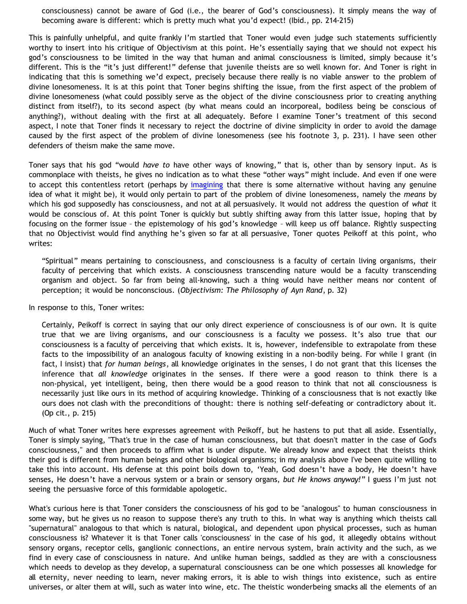consciousness) cannot be aware of God (i.e., the bearer of God's consciousness). It simply means the way of becoming aware is different: which is pretty much what you'd expect! (Ibid., pp. 214-215)

This is painfully unhelpful, and quite frankly I'm startled that Toner would even judge such statements sufficiently worthy to insert into his critique of Objectivism at this point. He's essentially saying that we should not expect his god's consciousness to be limited in the way that human and animal consciousness is limited, simply because it's different. This is the "it's just different!" defense that juvenile theists are so well known for. And Toner is right in indicating that this is something we'd expect, precisely because there really is no viable answer to the problem of divine lonesomeness. It is at this point that Toner begins shifting the issue, from the first aspect of the problem of divine lonesomeness (what could possibly serve as the object of the divine consciousness prior to creating anything distinct from itself?), to its second aspect (by what means could an incorporeal, bodiless being be conscious of anything?), without dealing with the first at all adequately. Before I examine Toner's treatment of this second aspect, I note that Toner finds it necessary to reject the doctrine of divine simplicity in order to avoid the damage caused by the first aspect of the problem of divine lonesomeness (see his footnote 3, p. 231). I have seen other defenders of theism make the same move.

Toner says that his god "would *have to* have other ways of knowing," that is, other than by sensory input. As is commonplace with theists, he gives no indication as to what these "other ways" might include. And even if one were to accept this contentless retort (perhaps by [imagining](http://bahnsenburner.blogspot.com/search/label/imagination) that there is some alternative without having any genuine idea of what it might be), it would only pertain to part of the problem of divine lonesomeness, namely the *means* by which his god supposedly has consciousness, and not at all persuasively. It would not address the question of *what* it would be conscious of. At this point Toner is quickly but subtly shifting away from this latter issue, hoping that by focusing on the former issue – the epistemology of his god's knowledge – will keep us off balance. Rightly suspecting that no Objectivist would find anything he's given so far at all persuasive, Toner quotes Peikoff at this point, who writes:

"Spiritual" means pertaining to consciousness, and consciousness is a faculty of certain living organisms, their faculty of perceiving that which exists. A consciousness transcending nature would be a faculty transcending organism and object. So far from being all-knowing, such a thing would have neither means nor content of perception; it would be nonconscious. (*Objectivism: The Philosophy of Ayn Rand*, p. 32)

In response to this, Toner writes:

Certainly, Peikoff is correct in saying that our only direct experience of consciousness is of our own. It is quite true that we are living organisms, and our consciousness is a faculty we possess. It's also true that our consciousness is a faculty of perceiving that which exists. It is, however, indefensible to extrapolate from these facts to the impossibility of an analogous faculty of knowing existing in a non-bodily being. For while I grant (in fact, I insist) that *for human beings*, all knowledge originates in the senses, I do not grant that this licenses the inference that *all knowledge* originates in the senses. If there were a good reason to think there is a non-physical, yet intelligent, being, then there would be a good reason to think that not all consciousness is necessarily just like ours in its method of acquiring knowledge. Thinking of a consciousness that is not exactly like ours does not clash with the preconditions of thought: there is nothing self-defeating or contradictory about it. (Op cit., p. 215)

Much of what Toner writes here expresses agreement with Peikoff, but he hastens to put that all aside. Essentially, Toner is simply saying, "That's true in the case of human consciousness, but that doesn't matter in the case of God's consciousness," and then proceeds to affirm what is under dispute. We already know and expect that theists think their god is different from human beings and other biological organisms; in my analysis above I've been quite willing to take this into account. His defense at this point boils down to, 'Yeah, God doesn't have a body, He doesn't have senses, He doesn't have a nervous system or a brain or sensory organs, *but He knows anyway!*" I guess I'm just not seeing the persuasive force of this formidable apologetic.

What's curious here is that Toner considers the consciousness of his god to be "analogous" to human consciousness in some way, but he gives us no reason to suppose there's any truth to this. In what way is anything which theists call "supernatural" analogous to that which is natural, biological, and dependent upon physical processes, such as human consciousness is? Whatever it is that Toner calls 'consciousness' in the case of his god, it allegedly obtains without sensory organs, receptor cells, ganglionic connections, an entire nervous system, brain activity and the such, as we find in every case of consciousness in nature. And unlike human beings, saddled as they are with a consciousness which needs to develop as they develop, a supernatural consciousness can be one which possesses all knowledge for all eternity, never needing to learn, never making errors, it is able to wish things into existence, such as entire universes, or alter them at will, such as water into wine, etc. The theistic wonderbeing smacks all the elements of an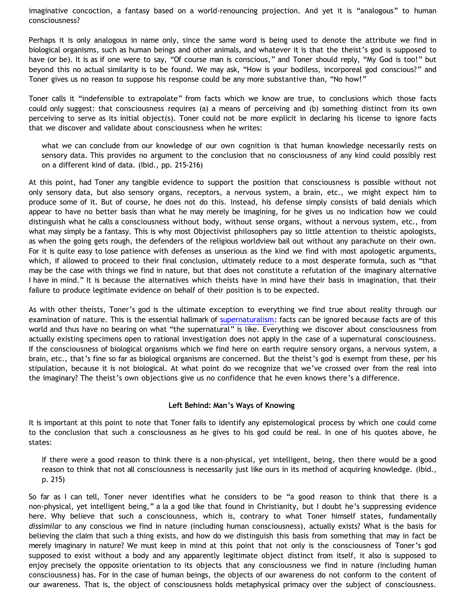imaginative concoction, a fantasy based on a world-renouncing projection. And yet it is "analogous" to human consciousness?

Perhaps it is only analogous in name only, since the same word is being used to denote the attribute we find in biological organisms, such as human beings and other animals, and whatever it is that the theist's god is supposed to have (or be). It is as if one were to say, "Of course man is conscious," and Toner should reply, "My God is too!" but beyond this no actual similarity is to be found. We may ask, "How is your bodiless, incorporeal god conscious?" and Toner gives us no reason to suppose his response could be any more substantive than, "No how!"

Toner calls it "indefensible to extrapolate" from facts which we know are true, to conclusions which those facts could only suggest: that consciousness requires (a) a means of perceiving and (b) something distinct from its own perceiving to serve as its initial object(s). Toner could not be more explicit in declaring his license to ignore facts that we discover and validate about consciousness when he writes:

what we can conclude from our knowledge of our own cognition is that human knowledge necessarily rests on sensory data. This provides no argument to the conclusion that no consciousness of any kind could possibly rest on a different kind of data. (Ibid., pp. 215-216)

At this point, had Toner any tangible evidence to support the position that consciousness is possible without not only sensory data, but also sensory organs, receptors, a nervous system, a brain, etc., we might expect him to produce some of it. But of course, he does not do this. Instead, his defense simply consists of bald denials which appear to have no better basis than what he may merely be imagining, for he gives us no indication how we could distinguish what he calls a consciousness without body, without sense organs, without a nervous system, etc., from what may simply be a fantasy. This is why most Objectivist philosophers pay so little attention to theistic apologists, as when the going gets rough, the defenders of the religious worldview bail out without any parachute on their own. For it is quite easy to lose patience with defenses as unserious as the kind we find with most apologetic arguments, which, if allowed to proceed to their final conclusion, ultimately reduce to a most desperate formula, such as "that may be the case with things we find in nature, but that does not constitute a refutation of the imaginary alternative I have in mind." It is because the alternatives which theists have in mind have their basis in imagination, that their failure to produce legitimate evidence on behalf of their position is to be expected.

As with other theists, Toner's god is the ultimate exception to everything we find true about reality through our examination of nature. This is the essential hallmark of [supernaturalism](http://www.geocities.com/katholon/Bahnsen_Supernatural.htm): facts can be ignored because facts are of this world and thus have no bearing on what "the supernatural" is like. Everything we discover about consciousness from actually existing specimens open to rational investigation does not apply in the case of a supernatural consciousness. If the consciousness of biological organisms which we find here on earth require sensory organs, a nervous system, a brain, etc., that's fine so far as biological organisms are concerned. But the theist's god is exempt from these, per his stipulation, because it is not biological. At what point do we recognize that we've crossed over from the real into the imaginary? The theist's own objections give us no confidence that he even knows there's a difference.

### **Left Behind: Man's Ways of Knowing**

It is important at this point to note that Toner fails to identify any epistemological process by which one could come to the conclusion that such a consciousness as he gives to his god could be real. In one of his quotes above, he states:

If there were a good reason to think there is a non-physical, yet intelligent, being, then there would be a good reason to think that not all consciousness is necessarily just like ours in its method of acquiring knowledge. (Ibid., p. 215)

So far as I can tell, Toner never identifies what he considers to be "a good reason to think that there is a non-physical, yet intelligent being," a la a god like that found in Christianity, but I doubt he's suppressing evidence here. Why believe that such a consciousness, which is, contrary to what Toner himself states, fundamentally *dissimilar* to any conscious we find in nature (including human consciousness), actually exists? What is the basis for believing the claim that such a thing exists, and how do we distinguish this basis from something that may in fact be merely imaginary in nature? We must keep in mind at this point that not only is the consciousness of Toner's god supposed to exist without a body and any apparently legitimate object distinct from itself, it also is supposed to enjoy precisely the opposite orientation to its objects that any consciousness we find in nature (including human consciousness) has. For in the case of human beings, the objects of our awareness do not conform to the content of our awareness. That is, the object of consciousness holds metaphysical primacy over the subject of consciousness.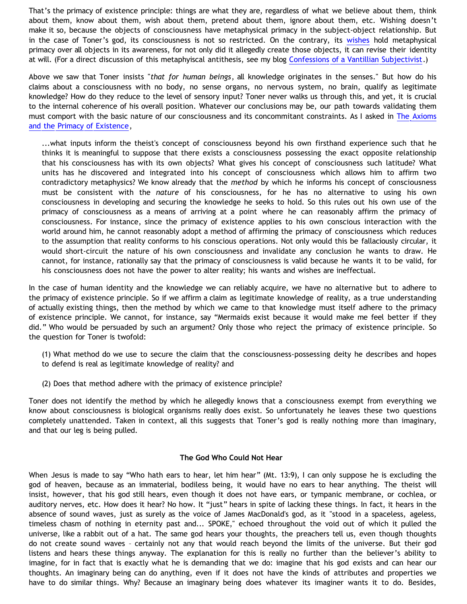That's the primacy of existence principle: things are what they are, regardless of what we believe about them, think about them, know about them, wish about them, pretend about them, ignore about them, etc. Wishing doesn't make it so, because the objects of consciousness have metaphysical primacy in the subject-object relationship. But in the case of Toner's god, its consciousness is not so restricted. On the contrary, its [wishes](http://bahnsenburner.blogspot.com/2006/12/wishing-and-christian-deity.html) hold metaphysical primacy over all objects in its awareness, for not only did it allegedly create those objects, it can revise their identity at will. (For a direct discussion of this metaphyiscal antithesis, see my blog [Confessions of a Vantillian Subjectivist.](http://bahnsenburner.blogspot.com/2006/03/confessions-of-vantillian-subjectivist.html))

Above we saw that Toner insists "*that for human beings*, all knowledge originates in the senses." But how do his claims about a consciousness with no body, no sense organs, no nervous system, no brain, qualify as legitimate knowledge? How do they reduce to the level of sensory input? Toner never walks us through this, and yet, it is crucial to the internal coherence of his overall position. Whatever our conclusions may be, our path towards validating them must comport with the basic nature of our consciousness and its concommitant constraints. As I asked in [The Axioms](http://bahnsenburner.blogspot.com/2006/12/axioms-and-primacy-of-existence.html) [and the Primacy of Existence,](http://bahnsenburner.blogspot.com/2006/12/axioms-and-primacy-of-existence.html)

...what inputs inform the theist's concept of consciousness beyond his own firsthand experience such that he thinks it is meaningful to suppose that there exists a consciousness possessing the exact opposite relationship that his consciousness has with its own objects? What gives his concept of consciousness such latitude? What units has he discovered and integrated into his concept of consciousness which allows him to affirm two contradictory metaphysics? We know already that the *method* by which he informs his concept of consciousness must be consistent with the *nature* of his consciousness, for he has no alternative to using his own consciousness in developing and securing the knowledge he seeks to hold. So this rules out his own use of the primacy of consciousness as a means of arriving at a point where he can reasonably affirm the primacy of consciousness. For instance, since the primacy of existence applies to his own conscious interaction with the world around him, he cannot reasonably adopt a method of affirming the primacy of consciousness which reduces to the assumption that reality conforms to his conscious operations. Not only would this be fallaciously circular, it would short-circuit the nature of his own consciousness and invalidate any conclusion he wants to draw. He cannot, for instance, rationally say that the primacy of consciousness is valid because he wants it to be valid, for his consciousness does not have the power to alter reality; his wants and wishes are ineffectual.

In the case of human identity and the knowledge we can reliably acquire, we have no alternative but to adhere to the primacy of existence principle. So if we affirm a claim as legitimate knowledge of reality, as a true understanding of actually existing things, then the method by which we came to that knowledge must itself adhere to the primacy of existence principle. We cannot, for instance, say "Mermaids exist because it would make me feel better if they did." Who would be persuaded by such an argument? Only those who reject the primacy of existence principle. So the question for Toner is twofold:

- (1) What method do we use to secure the claim that the consciousness-possessing deity he describes and hopes to defend is real as legitimate knowledge of reality? and
- (2) Does that method adhere with the primacy of existence principle?

Toner does not identify the method by which he allegedly knows that a consciousness exempt from everything we know about consciousness is biological organisms really does exist. So unfortunately he leaves these two questions completely unattended. Taken in context, all this suggests that Toner's god is really nothing more than imaginary, and that our leg is being pulled.

#### **The God Who Could Not Hear**

When Jesus is made to say "Who hath ears to hear, let him hear" (Mt. 13:9), I can only suppose he is excluding the god of heaven, because as an immaterial, bodiless being, it would have no ears to hear anything. The theist will insist, however, that his god still hears, even though it does not have ears, or tympanic membrane, or cochlea, or auditory nerves, etc. How does it hear? No how. It "just" hears in spite of lacking these things. In fact, it hears in the absence of sound waves, just as surely as the voice of James MacDonald's god, as it "stood in a spaceless, ageless, timeless chasm of nothing in eternity past and... SPOKE," echoed throughout the void out of which it pulled the universe, like a rabbit out of a hat. The same god hears your thoughts, the preachers tell us, even though thoughts do not create sound waves – certainly not any that would reach beyond the limits of the universe. But their god listens and hears these things anyway. The explanation for this is really no further than the believer's ability to imagine, for in fact that is exactly what he is demanding that we do: imagine that his god exists and can hear our thoughts. An imaginary being can do anything, even if it does not have the kinds of attributes and properties we have to do similar things. Why? Because an imaginary being does whatever its imaginer wants it to do. Besides,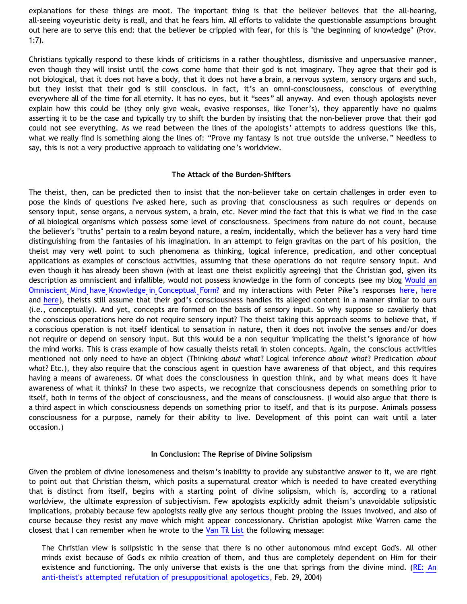explanations for these things are moot. The important thing is that the believer believes that the all-hearing, all-seeing voyeuristic deity is reall, and that he fears him. All efforts to validate the questionable assumptions brought out here are to serve this end: that the believer be crippled with fear, for this is "the beginning of knowledge" (Prov. 1:7).

Christians typically respond to these kinds of criticisms in a rather thoughtless, dismissive and unpersuasive manner, even though they will insist until the cows come home that their god is not imaginary. They agree that their god is not biological, that it does not have a body, that it does not have a brain, a nervous system, sensory organs and such, but they insist that their god is still conscious. In fact, it's an omni-consciousness, conscious of everything everywhere all of the time for all eternity. It has no eyes, but it "sees" all anyway. And even though apologists never explain how this could be (they only give weak, evasive responses, like Toner's), they apparently have no qualms asserting it to be the case and typically try to shift the burden by insisting that the non-believer prove that their god could not see everything. As we read between the lines of the apologists' attempts to address questions like this, what we really find is something along the lines of: "Prove my fantasy is not true outside the universe." Needless to say, this is not a very productive approach to validating one's worldview.

#### **The Attack of the Burden-Shifters**

The theist, then, can be predicted then to insist that the non-believer take on certain challenges in order even to pose the kinds of questions I've asked here, such as proving that consciousness as such requires or depends on sensory input, sense organs, a nervous system, a brain, etc. Never mind the fact that this is what we find in the case of all biological organisms which possess some level of consciousness. Specimens from nature do not count, because the believer's "truths" pertain to a realm beyond nature, a realm, incidentally, which the believer has a very hard time distinguishing from the fantasies of his imagination. In an attempt to feign gravitas on the part of his position, the theist may very well point to such phenomena as thinking, logical inference, predication, and other conceptual applications as examples of conscious activities, assuming that these operations do not require sensory input. And even though it has already been shown (with at least one theist explicitly agreeing) that the Christian god, given its description as omniscient and infallible, would not possess knowledge in the form of concepts (see my blog [Would an](http://bahnsenburner.blogspot.com/2007/04/would-omniscient-mind-have-knowledge-in.html) [Omniscient Mind have Knowledge in Conceptual Form?](http://bahnsenburner.blogspot.com/2007/04/would-omniscient-mind-have-knowledge-in.html) and my interactions with Peter Pike's responses [here,](http://bahnsenburner.blogspot.com/2007/04/pike-on-concepts-and-omniscience.html) [here](http://bahnsenburner.blogspot.com/2007/04/pikes-pique.html) and [here\)](http://bahnsenburner.blogspot.com/2007/04/peters-puke.html), theists still assume that their god's consciousness handles its alleged content in a manner similar to ours (i.e., conceptually). And yet, concepts are formed on the basis of sensory input. So why suppose so cavalierly that the conscious operations here do not require sensory input? The theist taking this approach seems to believe that, if a conscious operation is not itself identical to sensation in nature, then it does not involve the senses and/or does not require or depend on sensory input. But this would be a non sequitur implicating the theist's ignorance of how the mind works. This is crass example of how casually theists retail in stolen concepts. Again, the conscious activities mentioned not only need to have an object (Thinking *about what*? Logical inference *about what*? Predication *about what*? Etc.), they also require that the conscious agent in question have awareness of that object, and this requires having a means of awareness. Of what does the consciousness in question think, and by what means does it have awareness of what it thinks? In these two aspects, we recognize that consciousness depends on something prior to itself, both in terms of the object of consciousness, and the means of consciousness. (I would also argue that there is a third aspect in which consciousness depends on something prior to itself, and that is its purpose. Animals possess consciousness for a purpose, namely for their ability to live. Development of this point can wait until a later occasion.)

#### **In Conclusion: The Reprise of Divine Solipsism**

Given the problem of divine lonesomeness and theism's inability to provide any substantive answer to it, we are right to point out that Christian theism, which posits a supernatural creator which is needed to have created everything that is distinct from itself, begins with a starting point of divine solipsism, which is, according to a rational worldview, the ultimate expression of subjectivism. Few apologists explicitly admit theism's unavoidable solipsistic implications, probably because few apologists really give any serious thought probing the issues involved, and also of course because they resist any move which might appear concessionary. Christian apologist Mike Warren came the closest that I can remember when he wrote to the [Van Til List](http://www.ccir.ed.ac.uk/~jad/vantil-list/) the following message:

The Christian view is solipsistic in the sense that there is no other autonomous mind except God's. All other minds exist because of God's ex nihilo creation of them, and thus are completely dependent on Him for their existence and functioning. The only universe that exists is the one that springs from the divine mind. ([RE: An](http://groups.yahoo.com/group/vantil/message/1704) [anti-theist's attempted refutation of presuppositional apologetics,](http://groups.yahoo.com/group/vantil/message/1704) Feb. 29, 2004)